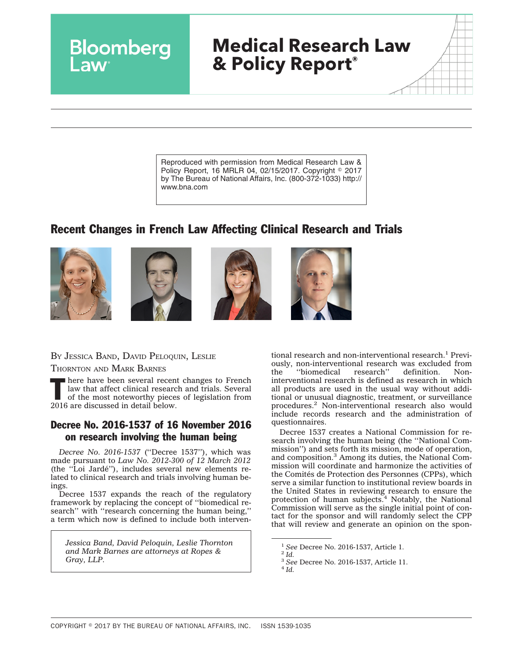# **Medical Research Law & Policy Report®**

Reproduced with permission from Medical Research Law & Policy Report, 16 MRLR 04, 02/15/2017. Copyright © 2017 by The Bureau of National Affairs, Inc. (800-372-1033) http:// www.bna.com

## Recent Changes in French Law Affecting Clinical Research and Trials









BY JESSICA BAND, DAVID PELOQUIN, LESLIE

Bloomberg

THORNTON AND MARK BARNES

There have been several recent changes to French<br>
law that affect clinical research and trials. Several<br>
of the most noteworthy pieces of legislation from<br>
2016 are diamond in data leads law that affect clinical research and trials. Several 2016 are discussed in detail below.

### Decree No. 2016-1537 of 16 November 2016 on research involving the human being

*Decree No. 2016-1537* (''Decree 1537''), which was made pursuant to *Law No. 2012-300 of 12 March 2012* (the ''Loi Jarde´''), includes several new elements related to clinical research and trials involving human beings.

Decree 1537 expands the reach of the regulatory framework by replacing the concept of ''biomedical research'' with ''research concerning the human being,'' a term which now is defined to include both interven-

*Jessica Band, David Peloquin, Leslie Thornton and Mark Barnes are attorneys at Ropes & Gray, LLP.*

tional research and non-interventional research.<sup>1</sup> Previously, non-interventional research was excluded from<br>the "biomedical research" definition. Non-''biomedical interventional research is defined as research in which all products are used in the usual way without additional or unusual diagnostic, treatment, or surveillance procedures.2 Non-interventional research also would include records research and the administration of questionnaires.

Decree 1537 creates a National Commission for research involving the human being (the ''National Commission'') and sets forth its mission, mode of operation, and composition.3 Among its duties, the National Commission will coordinate and harmonize the activities of the Comités de Protection des Personnes (CPPs), which serve a similar function to institutional review boards in the United States in reviewing research to ensure the<br>protection of human subjects.<sup>4</sup> Notably, the National Commission will serve as the single initial point of contact for the sponsor and will randomly select the CPP that will review and generate an opinion on the spon-

<sup>1</sup> *See* Decree No. 2016-1537, Article 1. <sup>2</sup> *Id.*

<sup>3</sup> *See* Decree No. 2016-1537, Article 11. <sup>4</sup> *Id.*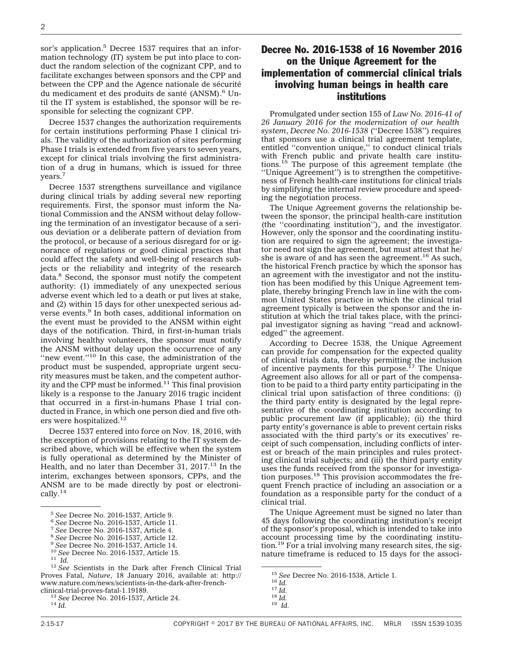sor's application.<sup>5</sup> Decree 1537 requires that an information technology (IT) system be put into place to conduct the random selection of the cognizant CPP, and to facilitate exchanges between sponsors and the CPP and between the CPP and the Agence nationale de sécurité du medicament et des produits de santé (ANSM).<sup>6</sup> Until the IT system is established, the sponsor will be responsible for selecting the cognizant CPP.

Decree 1537 changes the authorization requirements for certain institutions performing Phase I clinical trials. The validity of the authorization of sites performing Phase I trials is extended from five years to seven years, except for clinical trials involving the first administration of a drug in humans, which is issued for three years.<sup>7</sup>

Decree 1537 strengthens surveillance and vigilance during clinical trials by adding several new reporting requirements. First, the sponsor must inform the National Commission and the ANSM without delay following the termination of an investigator because of a serious deviation or a deliberate pattern of deviation from the protocol, or because of a serious disregard for or ignorance of regulations or good clinical practices that could affect the safety and well-being of research subjects or the reliability and integrity of the research data.8 Second, the sponsor must notify the competent authority: (1) immediately of any unexpected serious adverse event which led to a death or put lives at stake, and (2) within 15 days for other unexpected serious adverse events.<sup>9</sup> In both cases, additional information on the event must be provided to the ANSM within eight days of the notification. Third, in first-in-human trials involving healthy volunteers, the sponsor must notify the ANSM without delay upon the occurrence of any "new event."<sup>10</sup> In this case, the administration of the product must be suspended, appropriate urgent security measures must be taken, and the competent authority and the CPP must be informed.<sup>11</sup> This final provision likely is a response to the January 2016 tragic incident that occurred in a first-in-humans Phase I trial conducted in France, in which one person died and five others were hospitalized.<sup>12</sup>

Decree 1537 entered into force on Nov. 18, 2016, with the exception of provisions relating to the IT system described above, which will be effective when the system is fully operational as determined by the Minister of Health, and no later than December 31,  $2017<sup>13</sup>$  In the interim, exchanges between sponsors, CPPs, and the ANSM are to be made directly by post or electronically.<sup>14</sup>

- 
- 

#### Decree No. 2016-1538 of 16 November 2016 on the Unique Agreement for the implementation of commercial clinical trials involving human beings in health care institutions

Promulgated under section 155 of *Law No. 2016-41 of 26 January 2016 for the modernization of our health system*, *Decree No. 2016-1538* (''Decree 1538'') requires that sponsors use a clinical trial agreement template, entitled ''convention unique,'' to conduct clinical trials with French public and private health care institutions.<sup>15</sup> The purpose of this agreement template (the ''Unique Agreement'') is to strengthen the competitiveness of French health-care institutions for clinical trials by simplifying the internal review procedure and speeding the negotiation process.

The Unique Agreement governs the relationship between the sponsor, the principal health-care institution (the ''coordinating institution''), and the investigator. However, only the sponsor and the coordinating institution are required to sign the agreement; the investigator need not sign the agreement, but must attest that he/ she is aware of and has seen the agreement.<sup>16</sup> As such, the historical French practice by which the sponsor has an agreement with the investigator and not the institution has been modified by this Unique Agreement template, thereby bringing French law in line with the common United States practice in which the clinical trial agreement typically is between the sponsor and the institution at which the trial takes place, with the principal investigator signing as having ''read and acknowledged'' the agreement.

According to Decree 1538, the Unique Agreement can provide for compensation for the expected quality of clinical trials data, thereby permitting the inclusion of incentive payments for this purpose.17 The Unique Agreement also allows for all or part of the compensation to be paid to a third party entity participating in the clinical trial upon satisfaction of three conditions: (i) the third party entity is designated by the legal representative of the coordinating institution according to public procurement law (if applicable); (ii) the third party entity's governance is able to prevent certain risks associated with the third party's or its executives' receipt of such compensation, including conflicts of interest or breach of the main principles and rules protecting clinical trial subjects; and (iii) the third party entity uses the funds received from the sponsor for investigation purposes. $18$  This provision accommodates the frequent French practice of including an association or a foundation as a responsible party for the conduct of a clinical trial.

The Unique Agreement must be signed no later than 45 days following the coordinating institution's receipt of the sponsor's proposal, which is intended to take into account processing time by the coordinating institution.19 For a trial involving many research sites, the signature timeframe is reduced to 15 days for the associ-

<sup>&</sup>lt;sup>5</sup> See Decree No. 2016-1537, Article 9.<br>
<sup>6</sup> See Decree No. 2016-1537, Article 11.<br>
<sup>7</sup> See Decree No. 2016-1537, Article 4.<br>
<sup>8</sup> See Decree No. 2016-1537, Article 12.<br>
<sup>9</sup> See Decree No. 2016-1537, Article 14.<br>
<sup>10</sup> See Proves Fatal, *Nature*, 18 January 2016, available at: [http://](http://www.nature.com/news/scientists-in-the-dark-after-french-clinical-trial-proves-fatal-1.19189) [www.nature.com/news/scientists-in-the-dark-after-french-](http://www.nature.com/news/scientists-in-the-dark-after-french-clinical-trial-proves-fatal-1.19189)

<sup>&</sup>lt;sup>13</sup> See Decree No. 2016-1537, Article 24. <sup>14</sup> *Id.* 

<sup>15</sup> *See* Decree No. 2016-1538, Article 1. <sup>16</sup> *Id.* <sup>17</sup> *Id.* <sup>18</sup> *Id.* <sup>19</sup> *Id.*